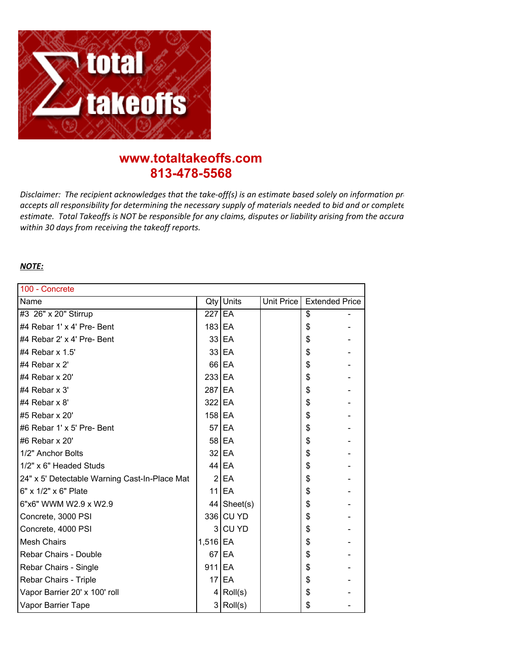

## **www.totaltakeoffs.com 813-478-5568**

*Disclaimer: The recipient acknowledges that the take-off(s) is an estimate based solely on information provident* accepts all responsibility for determining the necessary supply of materials needed to bid and or complete estimate. Total Takeoffs is NOT be responsible for any claims, disputes or liability arising from the accura *within 30 days from receiving the takeoff reports.*

## *NOTE:*

| 100 - Concrete                                |            |                      |            |                       |  |  |  |
|-----------------------------------------------|------------|----------------------|------------|-----------------------|--|--|--|
| Name                                          | Qty        | Units                | Unit Price | <b>Extended Price</b> |  |  |  |
| #3 26" x 20" Stirrup                          | $227$ EA   |                      |            | \$                    |  |  |  |
| #4 Rebar 1' x 4' Pre- Bent                    | 183 EA     |                      |            | \$                    |  |  |  |
| #4 Rebar 2' x 4' Pre- Bent                    |            | 33 EA                |            | \$                    |  |  |  |
| #4 Rebar $\times$ 1.5'                        |            | 33 EA                |            | \$                    |  |  |  |
| #4 Rebar x 2'                                 |            | $66$ EA              |            | \$                    |  |  |  |
| #4 Rebar x 20'                                | $233$ EA   |                      |            | \$                    |  |  |  |
| #4 Rebar $x$ 3'                               | 287 EA     |                      |            | \$                    |  |  |  |
| #4 Rebar $\times$ 8'                          | 322 EA     |                      |            | \$                    |  |  |  |
| #5 Rebar x 20'                                | $158$ EA   |                      |            | \$                    |  |  |  |
| #6 Rebar 1' x 5' Pre- Bent                    |            | 57 EA                |            | \$                    |  |  |  |
| #6 Rebar x 20'                                |            | 58 EA                |            | \$                    |  |  |  |
| 1/2" Anchor Bolts                             |            | $32$ EA              |            | \$                    |  |  |  |
| 1/2" x 6" Headed Studs                        |            | 44   EA              |            | \$                    |  |  |  |
| 24" x 5' Detectable Warning Cast-In-Place Mat |            | 2 EA                 |            | \$                    |  |  |  |
| 6" x 1/2" x 6" Plate                          |            | $11$  EA             |            | \$                    |  |  |  |
| 6"x6" WWM W2.9 x W2.9                         |            | $44$ Sheet(s)        |            | \$                    |  |  |  |
| Concrete, 3000 PSI                            |            | 336 CU YD            |            | \$                    |  |  |  |
| Concrete, 4000 PSI                            | 3          | <b>CU YD</b>         |            | \$                    |  |  |  |
| <b>Mesh Chairs</b>                            | $1,516$ EA |                      |            | \$                    |  |  |  |
| Rebar Chairs - Double                         |            | $67$ EA              |            | \$                    |  |  |  |
| Rebar Chairs - Single                         | $911$ EA   |                      |            | \$                    |  |  |  |
| Rebar Chairs - Triple                         |            | $17$ EA              |            | \$                    |  |  |  |
| Vapor Barrier 20' x 100' roll                 |            | $4  $ Roll(s)        |            | \$                    |  |  |  |
| Vapor Barrier Tape                            |            | $3   \text{Roll}(s)$ |            | \$                    |  |  |  |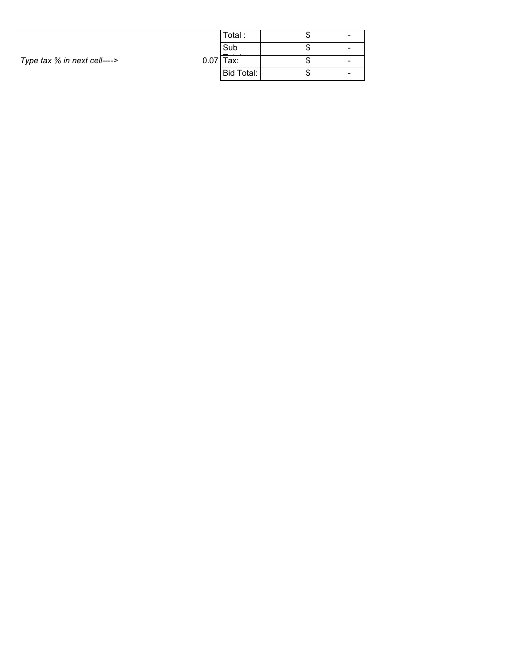|                              |       | Total:     |    |  |
|------------------------------|-------|------------|----|--|
| Type tax % in next cell----> |       | Sub        | ι. |  |
|                              | 0.071 | Tax:       |    |  |
|                              |       | Bid Total: | ι. |  |